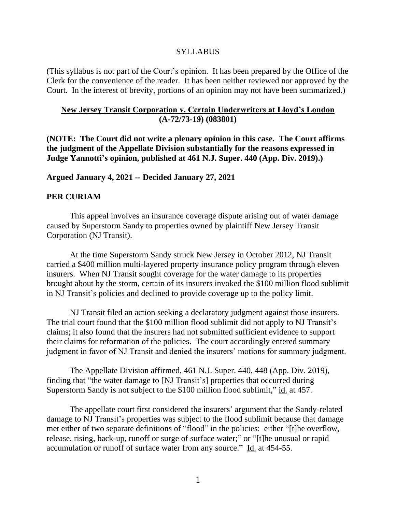#### SYLLABUS

(This syllabus is not part of the Court's opinion. It has been prepared by the Office of the Clerk for the convenience of the reader. It has been neither reviewed nor approved by the Court. In the interest of brevity, portions of an opinion may not have been summarized.)

### **New Jersey Transit Corporation v. Certain Underwriters at Lloyd's London (A-72/73-19) (083801)**

**(NOTE: The Court did not write a plenary opinion in this case. The Court affirms the judgment of the Appellate Division substantially for the reasons expressed in Judge Yannotti's opinion, published at 461 N.J. Super. 440 (App. Div. 2019).)**

#### **Argued January 4, 2021 -- Decided January 27, 2021**

### **PER CURIAM**

This appeal involves an insurance coverage dispute arising out of water damage caused by Superstorm Sandy to properties owned by plaintiff New Jersey Transit Corporation (NJ Transit).

At the time Superstorm Sandy struck New Jersey in October 2012, NJ Transit carried a \$400 million multi-layered property insurance policy program through eleven insurers. When NJ Transit sought coverage for the water damage to its properties brought about by the storm, certain of its insurers invoked the \$100 million flood sublimit in NJ Transit's policies and declined to provide coverage up to the policy limit.

NJ Transit filed an action seeking a declaratory judgment against those insurers. The trial court found that the \$100 million flood sublimit did not apply to NJ Transit's claims; it also found that the insurers had not submitted sufficient evidence to support their claims for reformation of the policies. The court accordingly entered summary judgment in favor of NJ Transit and denied the insurers' motions for summary judgment.

The Appellate Division affirmed, 461 N.J. Super. 440, 448 (App. Div. 2019), finding that "the water damage to [NJ Transit's] properties that occurred during Superstorm Sandy is not subject to the \$100 million flood sublimit," id. at 457.

The appellate court first considered the insurers' argument that the Sandy-related damage to NJ Transit's properties was subject to the flood sublimit because that damage met either of two separate definitions of "flood" in the policies: either "[t]he overflow, release, rising, back-up, runoff or surge of surface water;" or "[t]he unusual or rapid accumulation or runoff of surface water from any source." Id. at 454-55.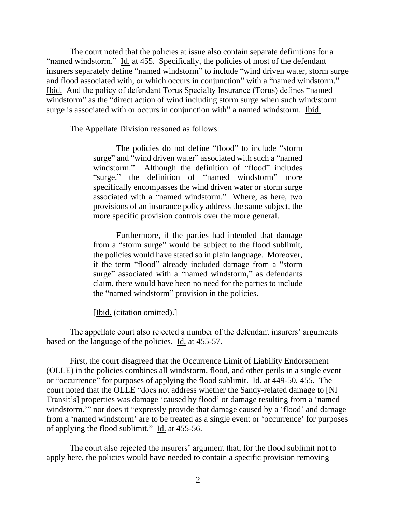The court noted that the policies at issue also contain separate definitions for a "named windstorm." Id. at 455. Specifically, the policies of most of the defendant insurers separately define "named windstorm" to include "wind driven water, storm surge and flood associated with, or which occurs in conjunction" with a "named windstorm." Ibid. And the policy of defendant Torus Specialty Insurance (Torus) defines "named windstorm" as the "direct action of wind including storm surge when such wind/storm surge is associated with or occurs in conjunction with" a named windstorm. Ibid.

The Appellate Division reasoned as follows:

The policies do not define "flood" to include "storm surge" and "wind driven water" associated with such a "named windstorm." Although the definition of "flood" includes "surge," the definition of "named windstorm" more specifically encompasses the wind driven water or storm surge associated with a "named windstorm." Where, as here, two provisions of an insurance policy address the same subject, the more specific provision controls over the more general.

Furthermore, if the parties had intended that damage from a "storm surge" would be subject to the flood sublimit, the policies would have stated so in plain language. Moreover, if the term "flood" already included damage from a "storm surge" associated with a "named windstorm," as defendants claim, there would have been no need for the parties to include the "named windstorm" provision in the policies.

[Ibid. (citation omitted).]

The appellate court also rejected a number of the defendant insurers' arguments based on the language of the policies. Id. at 455-57.

First, the court disagreed that the Occurrence Limit of Liability Endorsement (OLLE) in the policies combines all windstorm, flood, and other perils in a single event or "occurrence" for purposes of applying the flood sublimit. Id. at 449-50, 455. The court noted that the OLLE "does not address whether the Sandy-related damage to [NJ Transit's] properties was damage 'caused by flood' or damage resulting from a 'named windstorm," nor does it "expressly provide that damage caused by a 'flood' and damage from a 'named windstorm' are to be treated as a single event or 'occurrence' for purposes of applying the flood sublimit." Id. at 455-56.

The court also rejected the insurers' argument that, for the flood sublimit not to apply here, the policies would have needed to contain a specific provision removing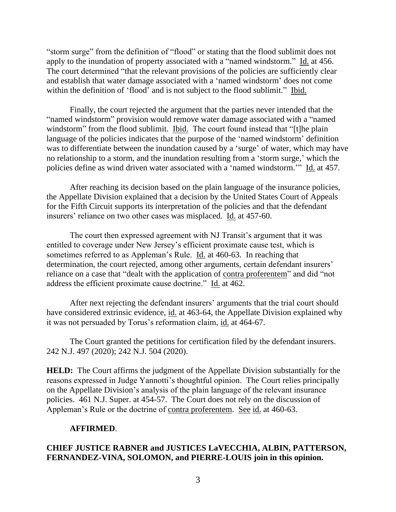"storm surge" from the definition of "flood" or stating that the flood sublimit does not apply to the inundation of property associated with a "named windstorm." Id. at 456. The court determined "that the relevant provisions of the policies are sufficiently clear and establish that water damage associated with a 'named windstorm' does not come within the definition of 'flood' and is not subject to the flood sublimit." Ibid.

Finally, the court rejected the argument that the parties never intended that the "named windstorm" provision would remove water damage associated with a "named windstorm" from the flood sublimit. Ibid. The court found instead that "[t]he plain language of the policies indicates that the purpose of the 'named windstorm' definition was to differentiate between the inundation caused by a 'surge' of water, which may have no relationship to a storm, and the inundation resulting from a 'storm surge,' which the policies define as wind driven water associated with a 'named windstorm.'" Id. at 457.

After reaching its decision based on the plain language of the insurance policies, the Appellate Division explained that a decision by the United States Court of Appeals for the Fifth Circuit supports its interpretation of the policies and that the defendant insurers' reliance on two other cases was misplaced. Id. at 457-60.

The court then expressed agreement with NJ Transit's argument that it was entitled to coverage under New Jersey's efficient proximate cause test, which is sometimes referred to as Appleman's Rule. Id. at 460-63. In reaching that determination, the court rejected, among other arguments, certain defendant insurers' reliance on a case that "dealt with the application of contra proferentem" and did "not address the efficient proximate cause doctrine." Id. at 462.

After next rejecting the defendant insurers' arguments that the trial court should have considered extrinsic evidence, id. at 463-64, the Appellate Division explained why it was not persuaded by Torus's reformation claim, id. at 464-67.

The Court granted the petitions for certification filed by the defendant insurers. 242 N.J. 497 (2020); 242 N.J. 504 (2020).

**HELD:** The Court affirms the judgment of the Appellate Division substantially for the reasons expressed in Judge Yannotti's thoughtful opinion. The Court relies principally on the Appellate Division's analysis of the plain language of the relevant insurance policies. 461 N.J. Super. at 454-57. The Court does not rely on the discussion of Appleman's Rule or the doctrine of contra proferentem. See id. at 460-63.

## **AFFIRMED**.

## **CHIEF JUSTICE RABNER and JUSTICES LaVECCHIA, ALBIN, PATTERSON, FERNANDEZ-VINA, SOLOMON, and PIERRE-LOUIS join in this opinion.**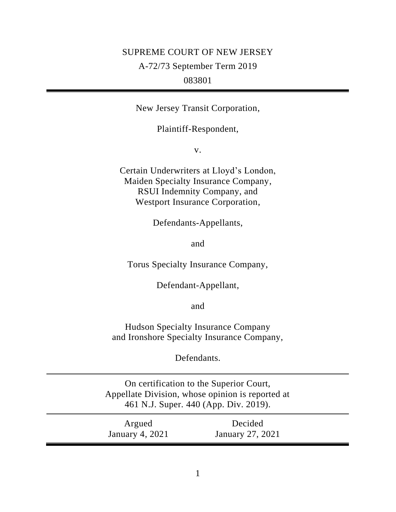# SUPREME COURT OF NEW JERSEY A-72/73 September Term 2019 083801

New Jersey Transit Corporation,

Plaintiff-Respondent,

v.

Certain Underwriters at Lloyd's London, Maiden Specialty Insurance Company, RSUI Indemnity Company, and Westport Insurance Corporation,

Defendants-Appellants,

and

Torus Specialty Insurance Company,

Defendant-Appellant,

and

Hudson Specialty Insurance Company and Ironshore Specialty Insurance Company,

Defendants.

On certification to the Superior Court, Appellate Division, whose opinion is reported at 461 N.J. Super. 440 (App. Div. 2019).

| Argued                 | Decided          |  |
|------------------------|------------------|--|
| <b>January 4, 2021</b> | January 27, 2021 |  |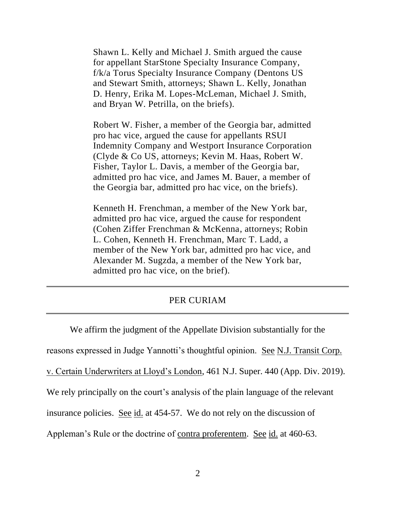Shawn L. Kelly and Michael J. Smith argued the cause for appellant StarStone Specialty Insurance Company, f/k/a Torus Specialty Insurance Company (Dentons US and Stewart Smith, attorneys; Shawn L. Kelly, Jonathan D. Henry, Erika M. Lopes-McLeman, Michael J. Smith, and Bryan W. Petrilla, on the briefs).

Robert W. Fisher, a member of the Georgia bar, admitted pro hac vice, argued the cause for appellants RSUI Indemnity Company and Westport Insurance Corporation (Clyde & Co US, attorneys; Kevin M. Haas, Robert W. Fisher, Taylor L. Davis, a member of the Georgia bar, admitted pro hac vice, and James M. Bauer, a member of the Georgia bar, admitted pro hac vice, on the briefs).

Kenneth H. Frenchman, a member of the New York bar, admitted pro hac vice, argued the cause for respondent (Cohen Ziffer Frenchman & McKenna, attorneys; Robin L. Cohen, Kenneth H. Frenchman, Marc T. Ladd, a member of the New York bar, admitted pro hac vice, and Alexander M. Sugzda, a member of the New York bar, admitted pro hac vice, on the brief).

## PER CURIAM

We affirm the judgment of the Appellate Division substantially for the reasons expressed in Judge Yannotti's thoughtful opinion. See N.J. Transit Corp. v. Certain Underwriters at Lloyd's London, 461 N.J. Super. 440 (App. Div. 2019). We rely principally on the court's analysis of the plain language of the relevant insurance policies. See id. at 454-57. We do not rely on the discussion of Appleman's Rule or the doctrine of contra proferentem. See id. at 460-63.